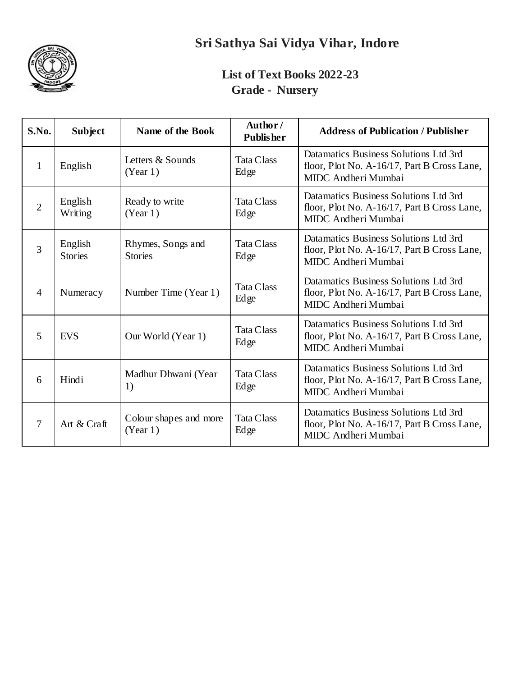

# **Sri Sathya Sai Vidya Vihar, Indore**

### **List of Text Books 2022-23 Grade - Nursery**

| S.No.          | <b>Subject</b>            | Name of the Book                    | Author/<br><b>Publisher</b> | <b>Address of Publication / Publisher</b>                                                                   |
|----------------|---------------------------|-------------------------------------|-----------------------------|-------------------------------------------------------------------------------------------------------------|
| 1              | English                   | Letters & Sounds<br>(Year 1)        | Tata Class<br>Edge          | Datamatics Business Solutions Ltd 3rd<br>floor, Plot No. A-16/17, Part B Cross Lane,<br>MIDC Andheri Mumbai |
| $\overline{2}$ | English<br>Writing        | Ready to write<br>(Year 1)          | <b>Tata Class</b><br>Edge   | Datamatics Business Solutions Ltd 3rd<br>floor, Plot No. A-16/17, Part B Cross Lane,<br>MIDC Andheri Mumbai |
| 3              | English<br><b>Stories</b> | Rhymes, Songs and<br><b>Stories</b> | <b>Tata Class</b><br>Edge   | Datamatics Business Solutions Ltd 3rd<br>floor, Plot No. A-16/17, Part B Cross Lane,<br>MIDC Andheri Mumbai |
| $\overline{4}$ | Numeracy                  | Number Time (Year 1)                | <b>Tata Class</b><br>Edge   | Datamatics Business Solutions Ltd 3rd<br>floor, Plot No. A-16/17, Part B Cross Lane,<br>MIDC Andheri Mumbai |
| 5              | <b>EVS</b>                | Our World (Year 1)                  | <b>Tata Class</b><br>Edge   | Datamatics Business Solutions Ltd 3rd<br>floor, Plot No. A-16/17, Part B Cross Lane,<br>MIDC Andheri Mumbai |
| 6              | Hindi                     | Madhur Dhwani (Year<br>1)           | <b>Tata Class</b><br>Edge   | Datamatics Business Solutions Ltd 3rd<br>floor, Plot No. A-16/17, Part B Cross Lane,<br>MIDC Andheri Mumbai |
| 7              | Art & Craft               | Colour shapes and more<br>(Year 1)  | <b>Tata Class</b><br>Edge   | Datamatics Business Solutions Ltd 3rd<br>floor, Plot No. A-16/17, Part B Cross Lane,<br>MIDC Andheri Mumbai |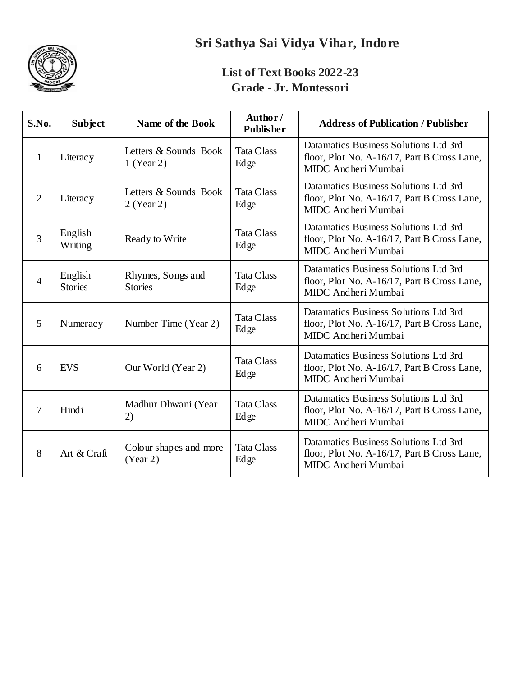

# **Sri Sathya Sai Vidya Vihar, Indore**

#### **List of Text Books 2022-23 Grade - Jr. Montessori**

| S.No.          | <b>Subject</b>            | Name of the Book                      | Author/<br><b>Publisher</b> | <b>Address of Publication / Publisher</b>                                                                   |
|----------------|---------------------------|---------------------------------------|-----------------------------|-------------------------------------------------------------------------------------------------------------|
| 1              | Literacy                  | Letters & Sounds Book<br>$1$ (Year 2) | <b>Tata Class</b><br>Edge   | Datamatics Business Solutions Ltd 3rd<br>floor, Plot No. A-16/17, Part B Cross Lane,<br>MIDC Andheri Mumbai |
| $\overline{2}$ | Literacy                  | Letters & Sounds Book<br>$2$ (Year 2) | <b>Tata Class</b><br>Edge   | Datamatics Business Solutions Ltd 3rd<br>floor, Plot No. A-16/17, Part B Cross Lane,<br>MIDC Andheri Mumbai |
| 3              | English<br>Writing        | Ready to Write                        | <b>Tata Class</b><br>Edge   | Datamatics Business Solutions Ltd 3rd<br>floor, Plot No. A-16/17, Part B Cross Lane,<br>MIDC Andheri Mumbai |
| $\overline{4}$ | English<br><b>Stories</b> | Rhymes, Songs and<br><b>Stories</b>   | <b>Tata Class</b><br>Edge   | Datamatics Business Solutions Ltd 3rd<br>floor, Plot No. A-16/17, Part B Cross Lane,<br>MIDC Andheri Mumbai |
| 5              | Numeracy                  | Number Time (Year 2)                  | <b>Tata Class</b><br>Edge   | Datamatics Business Solutions Ltd 3rd<br>floor, Plot No. A-16/17, Part B Cross Lane,<br>MIDC Andheri Mumbai |
| 6              | <b>EVS</b>                | Our World (Year 2)                    | <b>Tata Class</b><br>Edge   | Datamatics Business Solutions Ltd 3rd<br>floor, Plot No. A-16/17, Part B Cross Lane,<br>MIDC Andheri Mumbai |
| $\overline{7}$ | Hindi                     | Madhur Dhwani (Year<br>2)             | <b>Tata Class</b><br>Edge   | Datamatics Business Solutions Ltd 3rd<br>floor, Plot No. A-16/17, Part B Cross Lane,<br>MIDC Andheri Mumbai |
| 8              | Art & Craft               | Colour shapes and more<br>(Year 2)    | <b>Tata Class</b><br>Edge   | Datamatics Business Solutions Ltd 3rd<br>floor, Plot No. A-16/17, Part B Cross Lane,<br>MIDC Andheri Mumbai |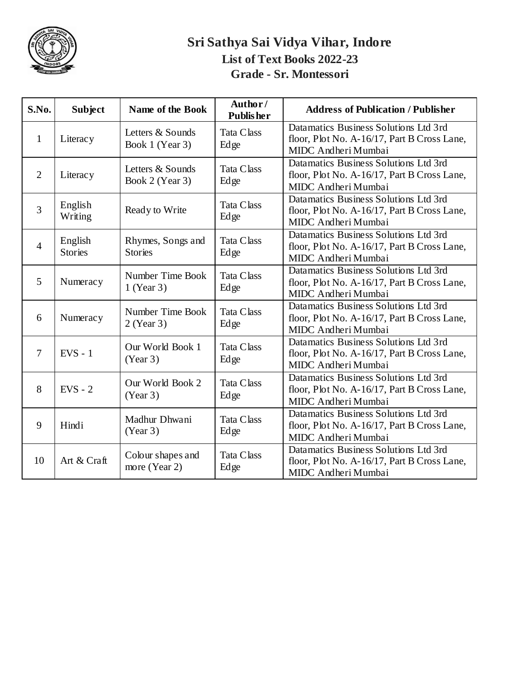

### **Sri Sathya Sai Vidya Vihar, Indore List of Text Books 2022-23 Grade - Sr. Montessori**

| S.No.          | <b>Subject</b>            | Name of the Book                    | Author/<br><b>Publisher</b> | <b>Address of Publication / Publisher</b>                                                                   |
|----------------|---------------------------|-------------------------------------|-----------------------------|-------------------------------------------------------------------------------------------------------------|
| 1              | Literacy                  | Letters & Sounds<br>Book 1 (Year 3) | Tata Class<br>Edge          | Datamatics Business Solutions Ltd 3rd<br>floor, Plot No. A-16/17, Part B Cross Lane,<br>MIDC Andheri Mumbai |
| $\overline{2}$ | Literacy                  | Letters & Sounds<br>Book 2 (Year 3) | Tata Class<br>Edge          | Datamatics Business Solutions Ltd 3rd<br>floor, Plot No. A-16/17, Part B Cross Lane,<br>MIDC Andheri Mumbai |
| $\overline{3}$ | English<br>Writing        | Ready to Write                      | Tata Class<br>Edge          | Datamatics Business Solutions Ltd 3rd<br>floor, Plot No. A-16/17, Part B Cross Lane,<br>MIDC Andheri Mumbai |
| $\overline{4}$ | English<br><b>Stories</b> | Rhymes, Songs and<br><b>Stories</b> | Tata Class<br>Edge          | Datamatics Business Solutions Ltd 3rd<br>floor, Plot No. A-16/17, Part B Cross Lane,<br>MIDC Andheri Mumbai |
| 5              | Numeracy                  | Number Time Book<br>1 (Year 3)      | Tata Class<br>Edge          | Datamatics Business Solutions Ltd 3rd<br>floor, Plot No. A-16/17, Part B Cross Lane,<br>MIDC Andheri Mumbai |
| 6              | Numeracy                  | Number Time Book<br>$2$ (Year 3)    | <b>Tata Class</b><br>Edge   | Datamatics Business Solutions Ltd 3rd<br>floor, Plot No. A-16/17, Part B Cross Lane,<br>MIDC Andheri Mumbai |
| $\overline{7}$ | $EVS - 1$                 | Our World Book 1<br>(Year 3)        | Tata Class<br>Edge          | Datamatics Business Solutions Ltd 3rd<br>floor, Plot No. A-16/17, Part B Cross Lane,<br>MIDC Andheri Mumbai |
| 8              | $EVS - 2$                 | Our World Book 2<br>(Year 3)        | <b>Tata Class</b><br>Edge   | Datamatics Business Solutions Ltd 3rd<br>floor, Plot No. A-16/17, Part B Cross Lane,<br>MIDC Andheri Mumbai |
| 9              | Hindi                     | Madhur Dhwani<br>(Year 3)           | Tata Class<br>Edge          | Datamatics Business Solutions Ltd 3rd<br>floor, Plot No. A-16/17, Part B Cross Lane,<br>MIDC Andheri Mumbai |
| 10             | Art & Craft               | Colour shapes and<br>more (Year 2)  | Tata Class<br>Edge          | Datamatics Business Solutions Ltd 3rd<br>floor, Plot No. A-16/17, Part B Cross Lane,<br>MIDC Andheri Mumbai |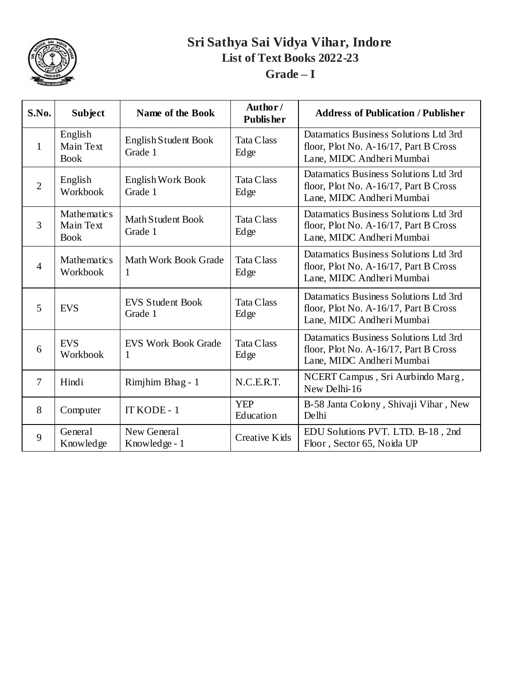

### **Sri Sathya Sai Vidya Vihar, Indore List of Text Books 2022-23 Grade – I**

| S.No.          | <b>Subject</b>                                 | <b>Name of the Book</b>            | Author/<br><b>Publisher</b> | <b>Address of Publication / Publisher</b>                                                                   |
|----------------|------------------------------------------------|------------------------------------|-----------------------------|-------------------------------------------------------------------------------------------------------------|
| $\mathbf{1}$   | English<br>Main Text<br><b>Book</b>            | English Student Book<br>Grade 1    | <b>Tata Class</b><br>Edge   | Datamatics Business Solutions Ltd 3rd<br>floor, Plot No. A-16/17, Part B Cross<br>Lane, MIDC Andheri Mumbai |
| $\overline{2}$ | English<br>Workbook                            | English Work Book<br>Grade 1       | <b>Tata Class</b><br>Edge   | Datamatics Business Solutions Ltd 3rd<br>floor, Plot No. A-16/17, Part B Cross<br>Lane, MIDC Andheri Mumbai |
| 3              | <b>Mathematics</b><br>Main Text<br><b>Book</b> | Math Student Book<br>Grade 1       | <b>Tata Class</b><br>Edge   | Datamatics Business Solutions Ltd 3rd<br>floor, Plot No. A-16/17, Part B Cross<br>Lane, MIDC Andheri Mumbai |
| $\overline{4}$ | <b>Mathematics</b><br>Workbook                 | Math Work Book Grade<br>1          | <b>Tata Class</b><br>Edge   | Datamatics Business Solutions Ltd 3rd<br>floor, Plot No. A-16/17, Part B Cross<br>Lane, MIDC Andheri Mumbai |
| 5              | <b>EVS</b>                                     | <b>EVS Student Book</b><br>Grade 1 | <b>Tata Class</b><br>Edge   | Datamatics Business Solutions Ltd 3rd<br>floor, Plot No. A-16/17, Part B Cross<br>Lane, MIDC Andheri Mumbai |
| 6              | <b>EVS</b><br>Workbook                         | <b>EVS Work Book Grade</b><br>1    | <b>Tata Class</b><br>Edge   | Datamatics Business Solutions Ltd 3rd<br>floor, Plot No. A-16/17, Part B Cross<br>Lane, MIDC Andheri Mumbai |
| 7              | Hindi                                          | Rimjhim Bhag - 1                   | N.C.E.R.T.                  | NCERT Campus, Sri Aurbindo Marg,<br>New Delhi-16                                                            |
| 8              | Computer                                       | IT KODE - 1                        | <b>YEP</b><br>Education     | B-58 Janta Colony, Shivaji Vihar, New<br>Delhi                                                              |
| 9              | General<br>Knowledge                           | New General<br>Knowledge - 1       | Creative Kids               | EDU Solutions PVT. LTD. B-18, 2nd<br>Floor, Sector 65, Noida UP                                             |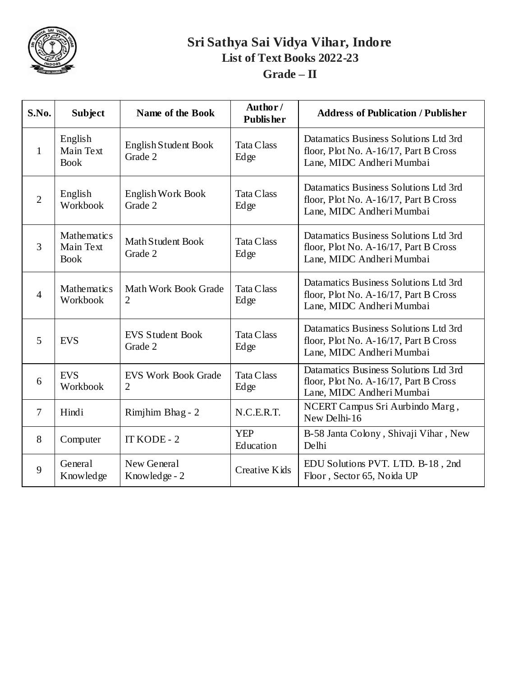

### **Sri Sathya Sai Vidya Vihar, Indore List of Text Books 2022-23 Grade – II**

| S.No.          | <b>Subject</b>                                 | Name of the Book                              | Author/<br><b>Publisher</b> | <b>Address of Publication / Publisher</b>                                                                   |
|----------------|------------------------------------------------|-----------------------------------------------|-----------------------------|-------------------------------------------------------------------------------------------------------------|
| 1              | English<br>Main Text<br><b>Book</b>            | English Student Book<br>Grade 2               | <b>Tata Class</b><br>Edge   | Datamatics Business Solutions Ltd 3rd<br>floor, Plot No. A-16/17, Part B Cross<br>Lane, MIDC Andheri Mumbai |
| $\overline{2}$ | English<br>Workbook                            | English Work Book<br>Grade 2                  | <b>Tata Class</b><br>Edge   | Datamatics Business Solutions Ltd 3rd<br>floor, Plot No. A-16/17, Part B Cross<br>Lane, MIDC Andheri Mumbai |
| 3              | <b>Mathematics</b><br>Main Text<br><b>Book</b> | Math Student Book<br>Grade 2                  | <b>Tata Class</b><br>Edge   | Datamatics Business Solutions Ltd 3rd<br>floor, Plot No. A-16/17, Part B Cross<br>Lane, MIDC Andheri Mumbai |
| $\overline{4}$ | <b>Mathematics</b><br>Workbook                 | <b>Math Work Book Grade</b><br>$\overline{2}$ | <b>Tata Class</b><br>Edge   | Datamatics Business Solutions Ltd 3rd<br>floor, Plot No. A-16/17, Part B Cross<br>Lane, MIDC Andheri Mumbai |
| 5              | <b>EVS</b>                                     | <b>EVS Student Book</b><br>Grade 2            | <b>Tata Class</b><br>Edge   | Datamatics Business Solutions Ltd 3rd<br>floor, Plot No. A-16/17, Part B Cross<br>Lane, MIDC Andheri Mumbai |
| 6              | <b>EVS</b><br>Workbook                         | <b>EVS Work Book Grade</b><br>$\overline{2}$  | <b>Tata Class</b><br>Edge   | Datamatics Business Solutions Ltd 3rd<br>floor, Plot No. A-16/17, Part B Cross<br>Lane, MIDC Andheri Mumbai |
| $\tau$         | Hindi                                          | Rimjhim Bhag - 2                              | N.C.E.R.T.                  | NCERT Campus Sri Aurbindo Marg,<br>New Delhi-16                                                             |
| 8              | Computer                                       | IT KODE - 2                                   | <b>YEP</b><br>Education     | B-58 Janta Colony, Shivaji Vihar, New<br>Delhi                                                              |
| 9              | General<br>Knowledge                           | New General<br>Knowledge - 2                  | <b>Creative Kids</b>        | EDU Solutions PVT. LTD. B-18, 2nd<br>Floor, Sector 65, Noida UP                                             |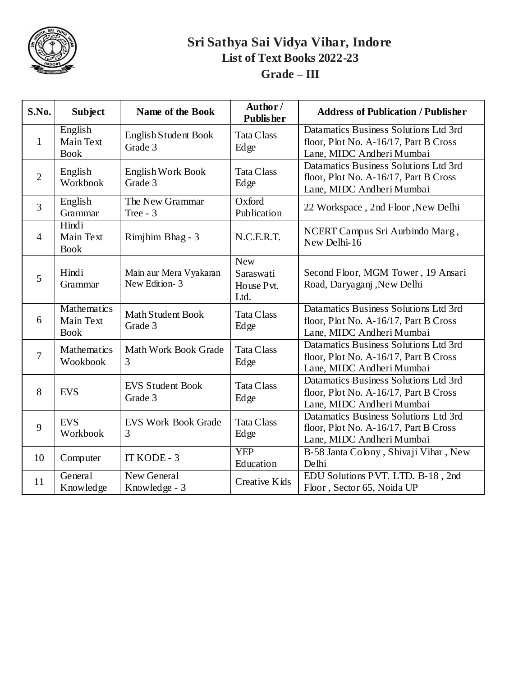

### **Sri Sathya Sai Vidya Vihar, Indore List of Text Books 2022-23 Grade – III**

| S.No.          | <b>Subject</b>                                 | Name of the Book                        | Author/<br><b>Publisher</b>                   | <b>Address of Publication / Publisher</b>                                                                   |
|----------------|------------------------------------------------|-----------------------------------------|-----------------------------------------------|-------------------------------------------------------------------------------------------------------------|
| 1              | English<br>Main Text<br><b>Book</b>            | English Student Book<br>Grade 3         | <b>Tata Class</b><br>Edge                     | Datamatics Business Solutions Ltd 3rd<br>floor, Plot No. A-16/17, Part B Cross<br>Lane, MIDC Andheri Mumbai |
| $\overline{2}$ | English<br>Workbook                            | <b>English Work Book</b><br>Grade 3     | <b>Tata Class</b><br>Edge                     | Datamatics Business Solutions Ltd 3rd<br>floor, Plot No. A-16/17, Part B Cross<br>Lane, MIDC Andheri Mumbai |
| $\overline{3}$ | English<br>Grammar                             | The New Grammar<br>Tree $-3$            | Oxford<br>Publication                         | 22 Workspace, 2nd Floor, New Delhi                                                                          |
| $\overline{4}$ | Hindi<br>Main Text<br><b>Book</b>              | Rimjhim Bhag - 3                        | N.C.E.R.T.                                    | NCERT Campus Sri Aurbindo Marg,<br>New Delhi-16                                                             |
| 5              | Hindi<br>Grammar                               | Main aur Mera Vyakaran<br>New Edition-3 | <b>New</b><br>Saraswati<br>House Pvt.<br>Ltd. | Second Floor, MGM Tower, 19 Ansari<br>Road, Daryaganj , New Delhi                                           |
| 6              | <b>Mathematics</b><br>Main Text<br><b>Book</b> | Math Student Book<br>Grade 3            | <b>Tata Class</b><br>Edge                     | Datamatics Business Solutions Ltd 3rd<br>floor, Plot No. A-16/17, Part B Cross<br>Lane, MIDC Andheri Mumbai |
| $\overline{7}$ | <b>Mathematics</b><br>Wookbook                 | Math Work Book Grade<br>3               | <b>Tata Class</b><br>Edge                     | Datamatics Business Solutions Ltd 3rd<br>floor, Plot No. A-16/17, Part B Cross<br>Lane, MIDC Andheri Mumbai |
| 8              | <b>EVS</b>                                     | <b>EVS Student Book</b><br>Grade 3      | <b>Tata Class</b><br>Edge                     | Datamatics Business Solutions Ltd 3rd<br>floor, Plot No. A-16/17, Part B Cross<br>Lane, MIDC Andheri Mumbai |
| 9              | <b>EVS</b><br>Workbook                         | <b>EVS Work Book Grade</b><br>3         | <b>Tata Class</b><br>Edge                     | Datamatics Business Solutions Ltd 3rd<br>floor, Plot No. A-16/17, Part B Cross<br>Lane, MIDC Andheri Mumbai |
| 10             | Computer                                       | IT KODE - 3                             | <b>YEP</b><br>Education                       | B-58 Janta Colony, Shivaji Vihar, New<br>Delhi                                                              |
| 11             | General<br>Knowledge                           | New General<br>Knowledge - 3            | Creative Kids                                 | EDU Solutions PVT. LTD. B-18, 2nd<br>Floor, Sector 65, Noida UP                                             |